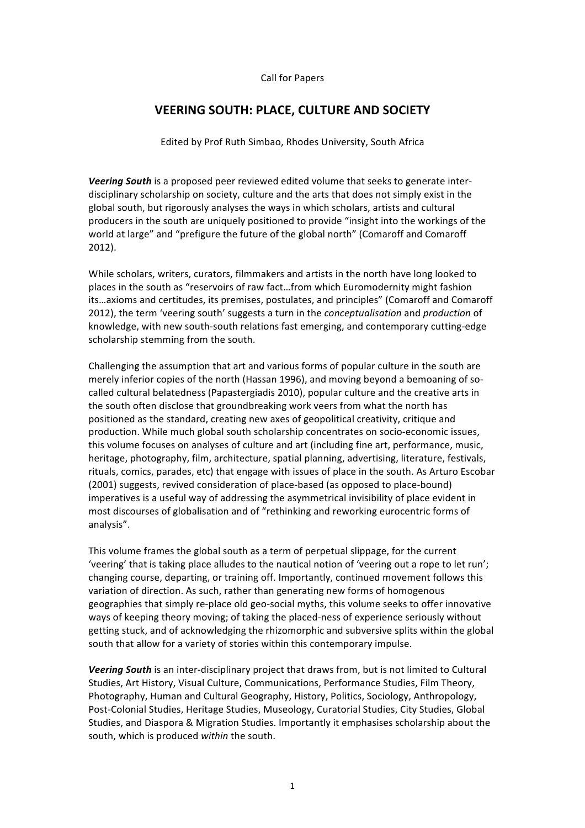## Call for Papers

# **VEERING SOUTH: PLACE, CULTURE AND SOCIETY**

Edited by Prof Ruth Simbao, Rhodes University, South Africa

**Veering South** is a proposed peer reviewed edited volume that seeks to generate interdisciplinary scholarship on society, culture and the arts that does not simply exist in the global south, but rigorously analyses the ways in which scholars, artists and cultural producers in the south are uniquely positioned to provide "insight into the workings of the world at large" and "prefigure the future of the global north" (Comaroff and Comaroff  $2012$ ).

While scholars, writers, curators, filmmakers and artists in the north have long looked to places in the south as "reservoirs of raw fact...from which Euromodernity might fashion its...axioms and certitudes, its premises, postulates, and principles" (Comaroff and Comaroff 2012), the term 'veering south' suggests a turn in the *conceptualisation* and *production* of knowledge, with new south-south relations fast emerging, and contemporary cutting-edge scholarship stemming from the south.

Challenging the assumption that art and various forms of popular culture in the south are merely inferior copies of the north (Hassan 1996), and moving beyond a bemoaning of socalled cultural belatedness (Papastergiadis 2010), popular culture and the creative arts in the south often disclose that groundbreaking work veers from what the north has positioned as the standard, creating new axes of geopolitical creativity, critique and production. While much global south scholarship concentrates on socio-economic issues, this volume focuses on analyses of culture and art (including fine art, performance, music, heritage, photography, film, architecture, spatial planning, advertising, literature, festivals, rituals, comics, parades, etc) that engage with issues of place in the south. As Arturo Escobar (2001) suggests, revived consideration of place-based (as opposed to place-bound) imperatives is a useful way of addressing the asymmetrical invisibility of place evident in most discourses of globalisation and of "rethinking and reworking eurocentric forms of analysis".

This volume frames the global south as a term of perpetual slippage, for the current 'veering' that is taking place alludes to the nautical notion of 'veering out a rope to let run'; changing course, departing, or training off. Importantly, continued movement follows this variation of direction. As such, rather than generating new forms of homogenous geographies that simply re-place old geo-social myths, this volume seeks to offer innovative ways of keeping theory moving; of taking the placed-ness of experience seriously without getting stuck, and of acknowledging the rhizomorphic and subversive splits within the global south that allow for a variety of stories within this contemporary impulse.

**Veering South** is an inter-disciplinary project that draws from, but is not limited to Cultural Studies, Art History, Visual Culture, Communications, Performance Studies, Film Theory, Photography, Human and Cultural Geography, History, Politics, Sociology, Anthropology, Post-Colonial Studies, Heritage Studies, Museology, Curatorial Studies, City Studies, Global Studies, and Diaspora & Migration Studies. Importantly it emphasises scholarship about the south, which is produced within the south.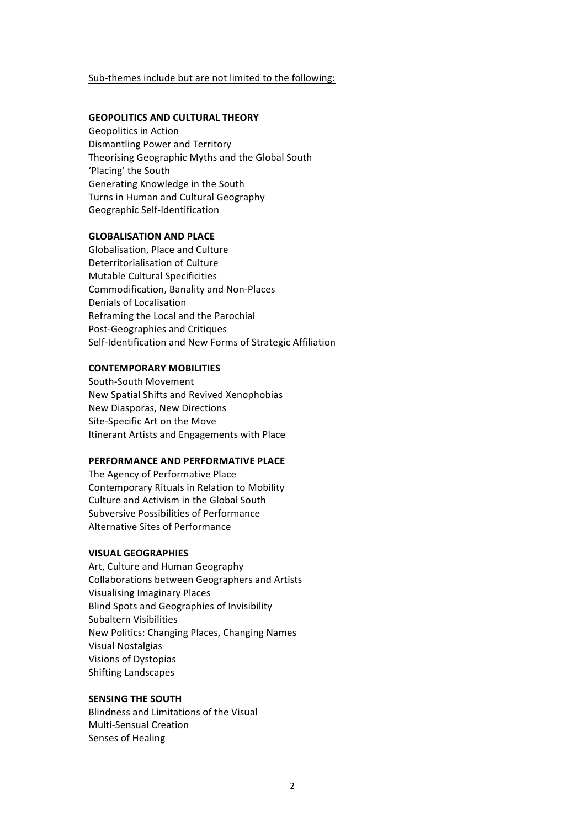## Sub-themes include but are not limited to the following:

## **GEOPOLITICS!AND!CULTURAL THEORY**

Geopolitics in Action Dismantling Power and Territory Theorising Geographic Myths and the Global South 'Placing' the South Generating Knowledge in the South Turns in Human and Cultural Geography Geographic Self-Identification

#### **GLOBALISATION AND PLACE**

Globalisation, Place and Culture Deterritorialisation of Culture Mutable Cultural Specificities Commodification, Banality and Non-Places Denials of Localisation Reframing the Local and the Parochial Post-Geographies and Critiques Self-Identification and New Forms of Strategic Affiliation

#### **CONTEMPORARY MOBILITIES**

South-South Movement New Spatial Shifts and Revived Xenophobias New Diasporas, New Directions Site-Specific Art on the Move Itinerant Artists and Engagements with Place

## **PERFORMANCE AND PERFORMATIVE PLACE**

The Agency of Performative Place Contemporary Rituals in Relation to Mobility Culture and Activism in the Global South Subversive Possibilities of Performance Alternative Sites of Performance

## **VISUAL!GEOGRAPHIES**

Art, Culture and Human Geography Collaborations between Geographers and Artists Visualising Imaginary Places Blind Spots and Geographies of Invisibility Subaltern Visibilities New Politics: Changing Places, Changing Names Visual Nostalgias Visions of Dystopias Shifting Landscapes

## **SENSING THE SOUTH**

Blindness and Limitations of the Visual Multi-Sensual Creation Senses of Healing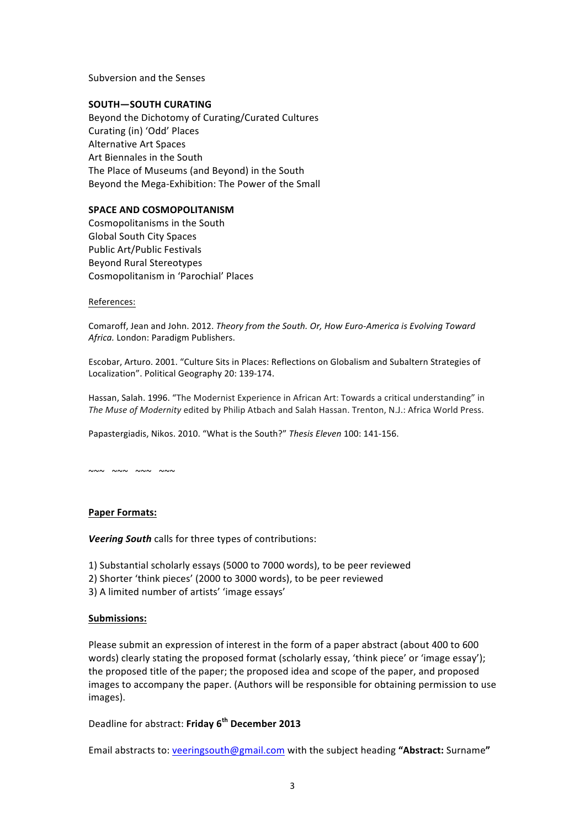Subversion and the Senses

### **SOUTH—SOUTH CURATING**

Beyond the Dichotomy of Curating/Curated Cultures Curating (in) 'Odd' Places Alternative Art Spaces Art Biennales in the South The Place of Museums (and Beyond) in the South Beyond the Mega-Exhibition: The Power of the Small

#### **SPACE AND COSMOPOLITANISM**

Cosmopolitanisms in the South Global South City Spaces Public Art/Public Festivals Beyond Rural Stereotypes Cosmopolitanism in 'Parochial' Places

#### References:

Comaroff, Jean and John. 2012. Theory from the South. Or, How Euro-America is Evolving Toward Africa. London: Paradigm Publishers.

Escobar, Arturo. 2001. "Culture Sits in Places: Reflections on Globalism and Subaltern Strategies of Localization". Political Geography 20: 139-174.

Hassan, Salah. 1996. "The Modernist Experience in African Art: Towards a critical understanding" in *The Muse of Modernity* edited by Philip Atbach and Salah Hassan. Trenton, N.J.: Africa World Press.

Papastergiadis, Nikos. 2010. "What is the South?" Thesis Eleven 100: 141-156.

 $~\sim~$   $~\sim~$   $~\sim~$   $~\sim~$   $~\sim$   $~\sim$   $~\sim$   $~\sim$   $~\sim$   $~\sim$   $~\sim$   $~\sim$   $~\sim$   $~\sim$   $~\sim$   $~\sim$   $~\sim$   $~\sim$   $~\sim$   $~\sim$   $~\sim$   $~\sim$   $~\sim$   $~\sim$   $~\sim$   $~\sim$   $~\sim$   $~\sim$   $~\sim$   $~\sim$   $~\sim$   $~\sim$   $~\sim$   $~\sim$   $~\sim$   $~\sim$ 

### Paper Formats:

**Veering South** calls for three types of contributions:

- 1) Substantial scholarly essays (5000 to 7000 words), to be peer reviewed
- 2) Shorter 'think pieces' (2000 to 3000 words), to be peer reviewed
- 3) A limited number of artists' 'image essays'

### **Submissions:**

Please submit an expression of interest in the form of a paper abstract (about 400 to 600 words) clearly stating the proposed format (scholarly essay, 'think piece' or 'image essay'); the proposed title of the paper; the proposed idea and scope of the paper, and proposed images to accompany the paper. (Authors will be responsible for obtaining permission to use images).

Deadline"for"abstract:"**Friday!6th December 2013**

Email abstracts to: veeringsouth@gmail.com with the subject heading "Abstract: Surname"